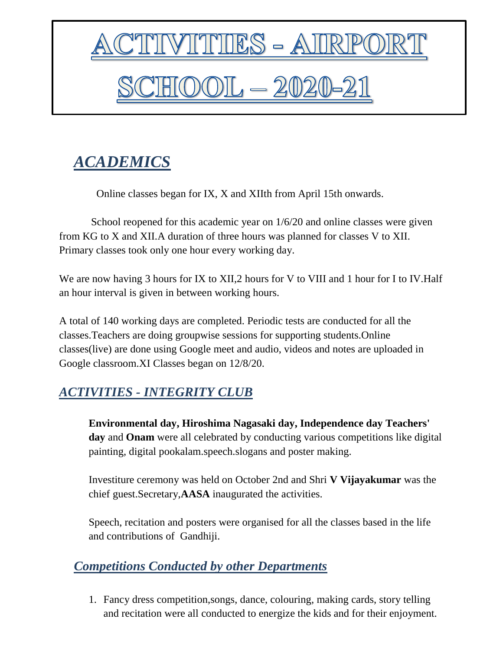

## *ACADEMICS*

Online classes began for IX, X and XIIth from April 15th onwards.

 School reopened for this academic year on 1/6/20 and online classes were given from KG to X and XII.A duration of three hours was planned for classes V to XII. Primary classes took only one hour every working day.

We are now having 3 hours for IX to XII,2 hours for V to VIII and 1 hour for I to IV. Half an hour interval is given in between working hours.

A total of 140 working days are completed. Periodic tests are conducted for all the classes.Teachers are doing groupwise sessions for supporting students.Online classes(live) are done using Google meet and audio, videos and notes are uploaded in Google classroom.XI Classes began on 12/8/20.

## *ACTIVITIES - INTEGRITY CLUB*

**Environmental day, Hiroshima Nagasaki day, Independence day Teachers' day** and **Onam** were all celebrated by conducting various competitions like digital painting, digital pookalam.speech.slogans and poster making.

Investiture ceremony was held on October 2nd and Shri **V Vijayakumar** was the chief guest.Secretary,**AASA** inaugurated the activities.

Speech, recitation and posters were organised for all the classes based in the life and contributions of Gandhiji.

## *Competitions Conducted by other Departments*

1. Fancy dress competition,songs, dance, colouring, making cards, story telling and recitation were all conducted to energize the kids and for their enjoyment.